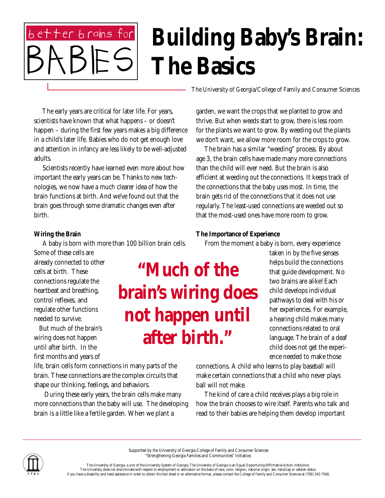# better brains for **Building Baby's Brain: The Basics**

The University of Georgia/College of Family and Consumer Sciences

 The early years are critical for later life. For years, scientists have known that what happens – or doesn't happen – during the first few years makes a big difference in a child's later life. Babies who do not get enough love and attention in infancy are less likely to be well-adjusted adults.

 Scientists recently have learned even more about how important the early years can be. Thanks to new technologies, we now have a much clearer idea of how the brain functions at birth. And we've found out that the brain goes through some dramatic changes even after birth.

### **Wiring the Brain**

 A baby is born with more than 100 billion brain cells. Some of these cells are

already connected to other cells at birth. These connections regulate the heartbeat and breathing, control reflexes, and regulate other functions needed to survive.

 But much of the brain's wiring does not happen until after birth. In the first months and years of

life, brain cells form connections in many parts of the brain. These connections are the complex circuits that shape our thinking, feelings, and behaviors.

 During these early years, the brain cells make many more connections than the baby will use. The developing brain is a little like a fertile garden. When we plant a

garden, we want the crops that we planted to grow and thrive. But when weeds start to grow, there is less room for the plants we want to grow. By weeding out the plants we don't want, we allow more room for the crops to grow.

 The brain has a similar "weeding" process. By about age 3, the brain cells have made many more connections than the child will ever need. But the brain is also efficient at weeding out the connections. It keeps track of the connections that the baby uses most. In time, the brain gets rid of the connections that it does not use regularly. The least-used connections are weeded out so that the most-used ones have more room to grow.

### **The Importance of Experience**

From the moment a baby is born, every experience

taken in by the five senses helps build the connections that guide development. No two brains are alike! Each child develops individual pathways to deal with his or her experiences. For example, a hearing child makes many connections related to oral language. The brain of a deaf child does not get the experience needed to make those

connections. A child who learns to play baseball will make certain connections that a child who never plays ball will not make.

 The kind of care a child receives plays a big role in how the brain chooses to wire itself. Parents who talk and read to their babies are helping them develop important

Supported by the University of Georgia College of Family and Consumer Sciences "Strengthening Georgia Families and Communities" Initiative.

**"Much of the brain's wiring does not happen until after birth."**